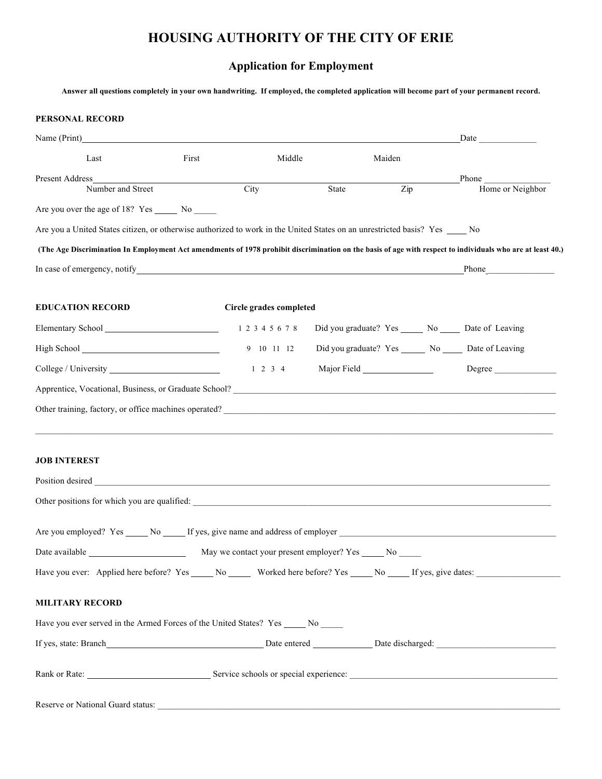## **HOUSING AUTHORITY OF THE CITY OF ERIE**

## **Application for Employment**

**Answer all questions completely in your own handwriting. If employed, the completed application will become part of your permanent record.**

| <b>PERSONAL RECORD</b>                                                                                                                                                                                                               |       |                         |       |        |                                                                                                                                                                                                                               |
|--------------------------------------------------------------------------------------------------------------------------------------------------------------------------------------------------------------------------------------|-------|-------------------------|-------|--------|-------------------------------------------------------------------------------------------------------------------------------------------------------------------------------------------------------------------------------|
| Name (Print)                                                                                                                                                                                                                         |       |                         |       |        |                                                                                                                                                                                                                               |
| Last                                                                                                                                                                                                                                 | First | Middle                  |       | Maiden |                                                                                                                                                                                                                               |
| Present Address                                                                                                                                                                                                                      |       |                         |       |        | Phone                                                                                                                                                                                                                         |
| Number and Street                                                                                                                                                                                                                    |       | City                    | State | Zip    | Home or Neighbor                                                                                                                                                                                                              |
|                                                                                                                                                                                                                                      |       |                         |       |        |                                                                                                                                                                                                                               |
| Are you a United States citizen, or otherwise authorized to work in the United States on an unrestricted basis? Yes No                                                                                                               |       |                         |       |        |                                                                                                                                                                                                                               |
| (The Age Discrimination In Employment Act amendments of 1978 prohibit discrimination on the basis of age with respect to individuals who are at least 40.)                                                                           |       |                         |       |        |                                                                                                                                                                                                                               |
| In case of emergency, notify <u>example and contract and contract and contract and contract and contract and contract and contract and contract and contract and contract and contract and contract and contract and contract an</u> |       |                         |       |        | Phone has a series of the series of the series of the series of the series of the series of the series of the series of the series of the series of the series of the series of the series of the series of the series of the |
| <b>EDUCATION RECORD</b>                                                                                                                                                                                                              |       | Circle grades completed |       |        |                                                                                                                                                                                                                               |
| Elementary School 1 2 3 4 5 6 7 8                                                                                                                                                                                                    |       |                         |       |        | Did you graduate? Yes _______ No ______ Date of Leaving                                                                                                                                                                       |
|                                                                                                                                                                                                                                      |       | 9 10 11 12              |       |        | Did you graduate? Yes _______ No ______ Date of Leaving                                                                                                                                                                       |
|                                                                                                                                                                                                                                      |       | $1 \t2 \t3 \t4$         |       |        | Degree                                                                                                                                                                                                                        |
|                                                                                                                                                                                                                                      |       |                         |       |        |                                                                                                                                                                                                                               |
|                                                                                                                                                                                                                                      |       |                         |       |        |                                                                                                                                                                                                                               |
| <b>JOB INTEREST</b>                                                                                                                                                                                                                  |       |                         |       |        |                                                                                                                                                                                                                               |
| Position desired <b>contained contained contained contained contained contained contained contained contained contained contained contained contained contained contained contained contained </b>                                   |       |                         |       |        |                                                                                                                                                                                                                               |
|                                                                                                                                                                                                                                      |       |                         |       |        |                                                                                                                                                                                                                               |
|                                                                                                                                                                                                                                      |       |                         |       |        |                                                                                                                                                                                                                               |
| Date available                                                                                                                                                                                                                       |       |                         |       |        |                                                                                                                                                                                                                               |
|                                                                                                                                                                                                                                      |       |                         |       |        |                                                                                                                                                                                                                               |
| <b>MILITARY RECORD</b>                                                                                                                                                                                                               |       |                         |       |        |                                                                                                                                                                                                                               |
| Have you ever served in the Armed Forces of the United States? Yes ______ No _____                                                                                                                                                   |       |                         |       |        |                                                                                                                                                                                                                               |
|                                                                                                                                                                                                                                      |       |                         |       |        |                                                                                                                                                                                                                               |
| Rank or Rate: <u>Communications of Service</u> schools or special experience: Communications and Communications of Service schools or special experience:                                                                            |       |                         |       |        |                                                                                                                                                                                                                               |
| Reserve or National Guard status:                                                                                                                                                                                                    |       |                         |       |        |                                                                                                                                                                                                                               |